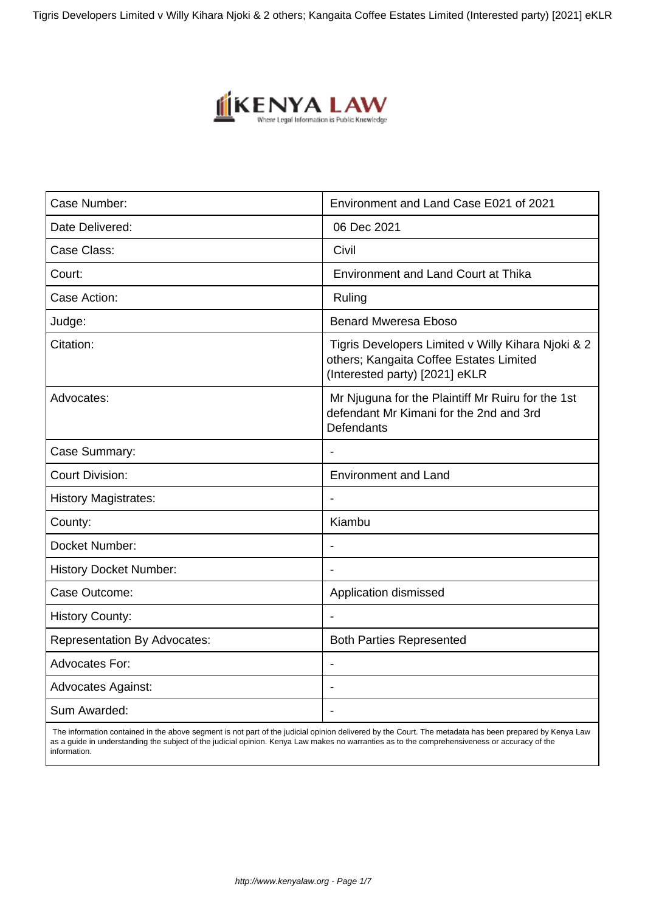Tigris Developers Limited v Willy Kihara Njoki & 2 others; Kangaita Coffee Estates Limited (Interested party) [2021] eKLR



| Case Number:                        | Environment and Land Case E021 of 2021                                                                                          |
|-------------------------------------|---------------------------------------------------------------------------------------------------------------------------------|
| Date Delivered:                     | 06 Dec 2021                                                                                                                     |
| Case Class:                         | Civil                                                                                                                           |
| Court:                              | <b>Environment and Land Court at Thika</b>                                                                                      |
| Case Action:                        | Ruling                                                                                                                          |
| Judge:                              | <b>Benard Mweresa Eboso</b>                                                                                                     |
| Citation:                           | Tigris Developers Limited v Willy Kihara Njoki & 2<br>others; Kangaita Coffee Estates Limited<br>(Interested party) [2021] eKLR |
| Advocates:                          | Mr Njuguna for the Plaintiff Mr Ruiru for the 1st<br>defendant Mr Kimani for the 2nd and 3rd<br><b>Defendants</b>               |
| Case Summary:                       |                                                                                                                                 |
| <b>Court Division:</b>              | <b>Environment and Land</b>                                                                                                     |
| <b>History Magistrates:</b>         |                                                                                                                                 |
| County:                             | Kiambu                                                                                                                          |
| Docket Number:                      |                                                                                                                                 |
| <b>History Docket Number:</b>       |                                                                                                                                 |
| Case Outcome:                       | Application dismissed                                                                                                           |
| <b>History County:</b>              |                                                                                                                                 |
| <b>Representation By Advocates:</b> | <b>Both Parties Represented</b>                                                                                                 |
| <b>Advocates For:</b>               |                                                                                                                                 |
| <b>Advocates Against:</b>           |                                                                                                                                 |
| Sum Awarded:                        |                                                                                                                                 |

 The information contained in the above segment is not part of the judicial opinion delivered by the Court. The metadata has been prepared by Kenya Law as a guide in understanding the subject of the judicial opinion. Kenya Law makes no warranties as to the comprehensiveness or accuracy of the information.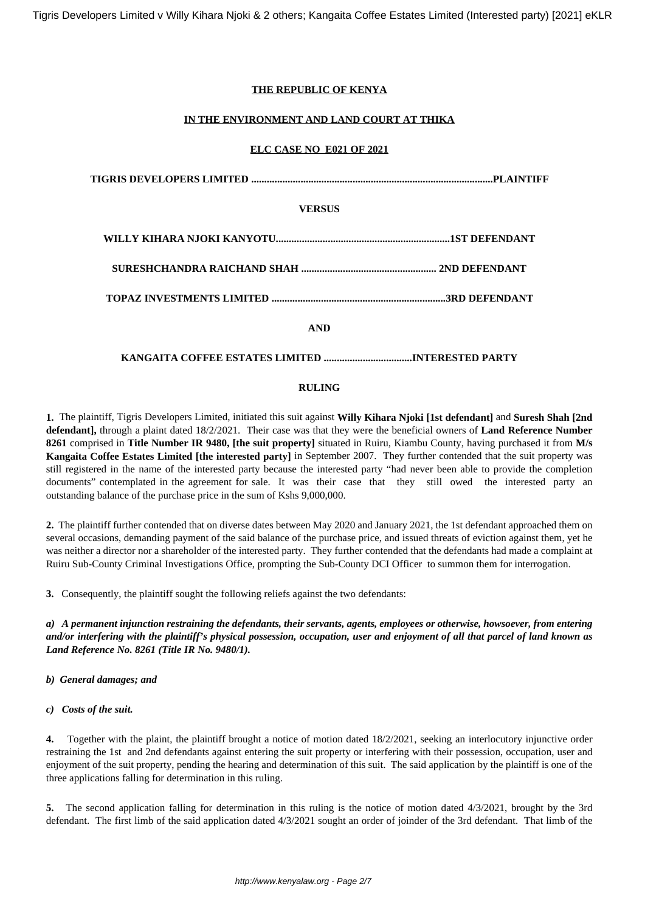### **THE REPUBLIC OF KENYA**

### **IN THE ENVIRONMENT AND LAND COURT AT THIKA**

#### **ELC CASE NO E021 OF 2021**

| <b>VERSUS</b> |  |
|---------------|--|
|               |  |
|               |  |
|               |  |
| <b>AND</b>    |  |
|               |  |

### **RULING**

**1.** The plaintiff, Tigris Developers Limited, initiated this suit against **Willy Kihara Njoki [1st defendant]** and **Suresh Shah [2nd defendant],** through a plaint dated 18/2/2021. Their case was that they were the beneficial owners of **Land Reference Number 8261** comprised in **Title Number IR 9480, [the suit property]** situated in Ruiru, Kiambu County, having purchased it from **M/s Kangaita Coffee Estates Limited [the interested party]** in September 2007. They further contended that the suit property was still registered in the name of the interested party because the interested party "had never been able to provide the completion documents" contemplated in the agreement for sale. It was their case that they still owed the interested party an outstanding balance of the purchase price in the sum of Kshs 9,000,000.

**2.** The plaintiff further contended that on diverse dates between May 2020 and January 2021, the 1st defendant approached them on several occasions, demanding payment of the said balance of the purchase price, and issued threats of eviction against them, yet he was neither a director nor a shareholder of the interested party. They further contended that the defendants had made a complaint at Ruiru Sub-County Criminal Investigations Office, prompting the Sub-County DCI Officer to summon them for interrogation.

**3.** Consequently, the plaintiff sought the following reliefs against the two defendants:

*a) A permanent injunction restraining the defendants, their servants, agents, employees or otherwise, howsoever, from entering and/or interfering with the plaintiff's physical possession, occupation, user and enjoyment of all that parcel of land known as Land Reference No. 8261 (Title IR No. 9480/1).*

- *b) General damages; and*
- *c) Costs of the suit.*

**4.** Together with the plaint, the plaintiff brought a notice of motion dated 18/2/2021, seeking an interlocutory injunctive order restraining the 1st and 2nd defendants against entering the suit property or interfering with their possession, occupation, user and enjoyment of the suit property, pending the hearing and determination of this suit. The said application by the plaintiff is one of the three applications falling for determination in this ruling.

**5.** The second application falling for determination in this ruling is the notice of motion dated 4/3/2021, brought by the 3rd defendant. The first limb of the said application dated 4/3/2021 sought an order of joinder of the 3rd defendant. That limb of the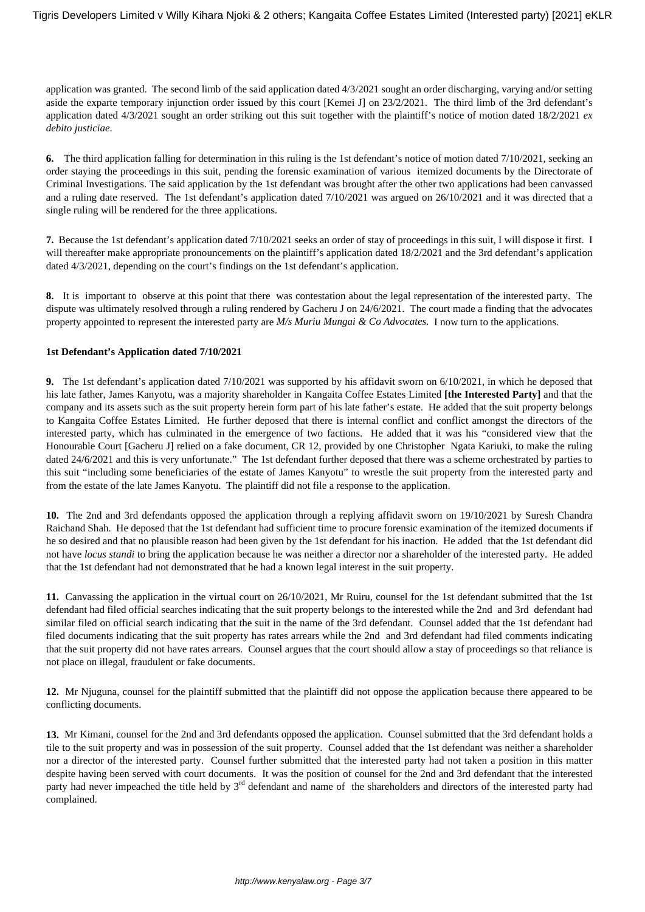application was granted. The second limb of the said application dated 4/3/2021 sought an order discharging, varying and/or setting aside the exparte temporary injunction order issued by this court [Kemei J] on 23/2/2021. The third limb of the 3rd defendant's application dated 4/3/2021 sought an order striking out this suit together with the plaintiff's notice of motion dated 18/2/2021 *ex debito justiciae.*

**6.** The third application falling for determination in this ruling is the 1st defendant's notice of motion dated 7/10/2021, seeking an order staying the proceedings in this suit, pending the forensic examination of various itemized documents by the Directorate of Criminal Investigations. The said application by the 1st defendant was brought after the other two applications had been canvassed and a ruling date reserved. The 1st defendant's application dated 7/10/2021 was argued on 26/10/2021 and it was directed that a single ruling will be rendered for the three applications.

**7.** Because the 1st defendant's application dated 7/10/2021 seeks an order of stay of proceedings in this suit, I will dispose it first. I will thereafter make appropriate pronouncements on the plaintiff's application dated 18/2/2021 and the 3rd defendant's application dated 4/3/2021, depending on the court's findings on the 1st defendant's application.

**8.** It is important to observe at this point that there was contestation about the legal representation of the interested party. The dispute was ultimately resolved through a ruling rendered by Gacheru J on 24/6/2021. The court made a finding that the advocates property appointed to represent the interested party are *M/s Muriu Mungai & Co Advocates.* I now turn to the applications.

#### **1st Defendant's Application dated 7/10/2021**

**9.** The 1st defendant's application dated 7/10/2021 was supported by his affidavit sworn on 6/10/2021, in which he deposed that his late father, James Kanyotu, was a majority shareholder in Kangaita Coffee Estates Limited **[the Interested Party]** and that the company and its assets such as the suit property herein form part of his late father's estate. He added that the suit property belongs to Kangaita Coffee Estates Limited. He further deposed that there is internal conflict and conflict amongst the directors of the interested party, which has culminated in the emergence of two factions. He added that it was his "considered view that the Honourable Court [Gacheru J] relied on a fake document, CR 12, provided by one Christopher Ngata Kariuki, to make the ruling dated 24/6/2021 and this is very unfortunate." The 1st defendant further deposed that there was a scheme orchestrated by parties to this suit "including some beneficiaries of the estate of James Kanyotu" to wrestle the suit property from the interested party and from the estate of the late James Kanyotu. The plaintiff did not file a response to the application.

**10.** The 2nd and 3rd defendants opposed the application through a replying affidavit sworn on 19/10/2021 by Suresh Chandra Raichand Shah. He deposed that the 1st defendant had sufficient time to procure forensic examination of the itemized documents if he so desired and that no plausible reason had been given by the 1st defendant for his inaction. He added that the 1st defendant did not have *locus standi* to bring the application because he was neither a director nor a shareholder of the interested party. He added that the 1st defendant had not demonstrated that he had a known legal interest in the suit property.

**11.** Canvassing the application in the virtual court on 26/10/2021, Mr Ruiru, counsel for the 1st defendant submitted that the 1st defendant had filed official searches indicating that the suit property belongs to the interested while the 2nd and 3rd defendant had similar filed on official search indicating that the suit in the name of the 3rd defendant. Counsel added that the 1st defendant had filed documents indicating that the suit property has rates arrears while the 2nd and 3rd defendant had filed comments indicating that the suit property did not have rates arrears. Counsel argues that the court should allow a stay of proceedings so that reliance is not place on illegal, fraudulent or fake documents.

**12.** Mr Njuguna, counsel for the plaintiff submitted that the plaintiff did not oppose the application because there appeared to be conflicting documents.

**13.** Mr Kimani, counsel for the 2nd and 3rd defendants opposed the application. Counsel submitted that the 3rd defendant holds a tile to the suit property and was in possession of the suit property. Counsel added that the 1st defendant was neither a shareholder nor a director of the interested party. Counsel further submitted that the interested party had not taken a position in this matter despite having been served with court documents. It was the position of counsel for the 2nd and 3rd defendant that the interested party had never impeached the title held by 3<sup>rd</sup> defendant and name of the shareholders and directors of the interested party had complained.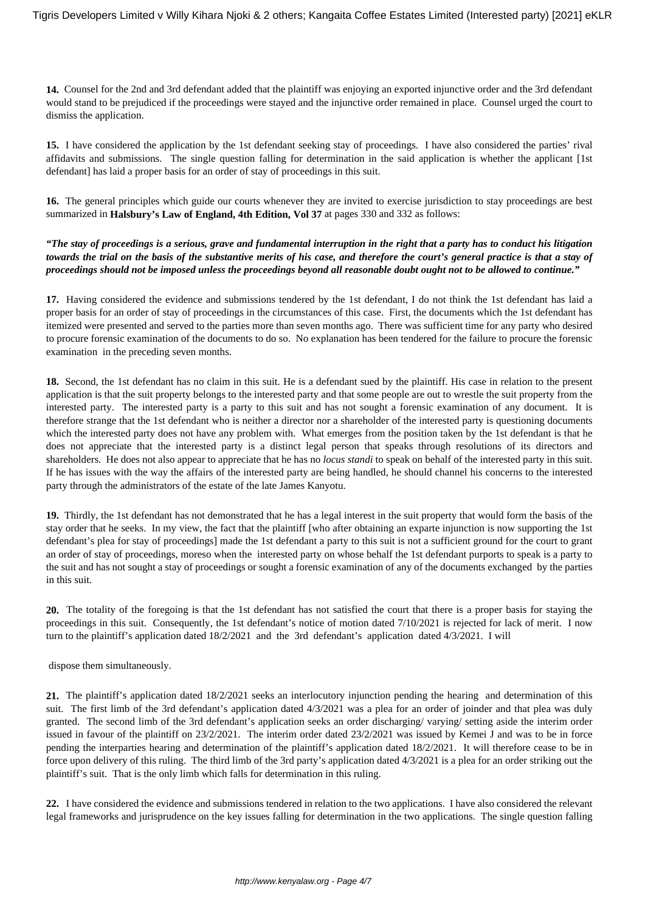**14.** Counsel for the 2nd and 3rd defendant added that the plaintiff was enjoying an exported injunctive order and the 3rd defendant would stand to be prejudiced if the proceedings were stayed and the injunctive order remained in place. Counsel urged the court to dismiss the application.

**15.** I have considered the application by the 1st defendant seeking stay of proceedings. I have also considered the parties' rival affidavits and submissions. The single question falling for determination in the said application is whether the applicant [1st defendant] has laid a proper basis for an order of stay of proceedings in this suit.

**16.** The general principles which guide our courts whenever they are invited to exercise jurisdiction to stay proceedings are best summarized in **Halsbury's Law of England, 4th Edition, Vol 37** at pages 330 and 332 as follows:

*"The stay of proceedings is a serious, grave and fundamental interruption in the right that a party has to conduct his litigation towards the trial on the basis of the substantive merits of his case, and therefore the court's general practice is that a stay of proceedings should not be imposed unless the proceedings beyond all reasonable doubt ought not to be allowed to continue."*

**17.** Having considered the evidence and submissions tendered by the 1st defendant, I do not think the 1st defendant has laid a proper basis for an order of stay of proceedings in the circumstances of this case. First, the documents which the 1st defendant has itemized were presented and served to the parties more than seven months ago. There was sufficient time for any party who desired to procure forensic examination of the documents to do so. No explanation has been tendered for the failure to procure the forensic examination in the preceding seven months.

**18.** Second, the 1st defendant has no claim in this suit. He is a defendant sued by the plaintiff. His case in relation to the present application is that the suit property belongs to the interested party and that some people are out to wrestle the suit property from the interested party. The interested party is a party to this suit and has not sought a forensic examination of any document. It is therefore strange that the 1st defendant who is neither a director nor a shareholder of the interested party is questioning documents which the interested party does not have any problem with. What emerges from the position taken by the 1st defendant is that he does not appreciate that the interested party is a distinct legal person that speaks through resolutions of its directors and shareholders. He does not also appear to appreciate that he has no *locus standi* to speak on behalf of the interested party in this suit. If he has issues with the way the affairs of the interested party are being handled, he should channel his concerns to the interested party through the administrators of the estate of the late James Kanyotu.

**19.** Thirdly, the 1st defendant has not demonstrated that he has a legal interest in the suit property that would form the basis of the stay order that he seeks. In my view, the fact that the plaintiff [who after obtaining an exparte injunction is now supporting the 1st defendant's plea for stay of proceedings] made the 1st defendant a party to this suit is not a sufficient ground for the court to grant an order of stay of proceedings, moreso when the interested party on whose behalf the 1st defendant purports to speak is a party to the suit and has not sought a stay of proceedings or sought a forensic examination of any of the documents exchanged by the parties in this suit.

**20.** The totality of the foregoing is that the 1st defendant has not satisfied the court that there is a proper basis for staying the proceedings in this suit. Consequently, the 1st defendant's notice of motion dated 7/10/2021 is rejected for lack of merit. I now turn to the plaintiff's application dated 18/2/2021 and the 3rd defendant's application dated 4/3/2021. I will

dispose them simultaneously.

**21.** The plaintiff's application dated 18/2/2021 seeks an interlocutory injunction pending the hearing and determination of this suit. The first limb of the 3rd defendant's application dated 4/3/2021 was a plea for an order of joinder and that plea was duly granted. The second limb of the 3rd defendant's application seeks an order discharging/ varying/ setting aside the interim order issued in favour of the plaintiff on 23/2/2021. The interim order dated 23/2/2021 was issued by Kemei J and was to be in force pending the interparties hearing and determination of the plaintiff's application dated 18/2/2021. It will therefore cease to be in force upon delivery of this ruling. The third limb of the 3rd party's application dated 4/3/2021 is a plea for an order striking out the plaintiff's suit. That is the only limb which falls for determination in this ruling.

**22.** I have considered the evidence and submissions tendered in relation to the two applications. I have also considered the relevant legal frameworks and jurisprudence on the key issues falling for determination in the two applications. The single question falling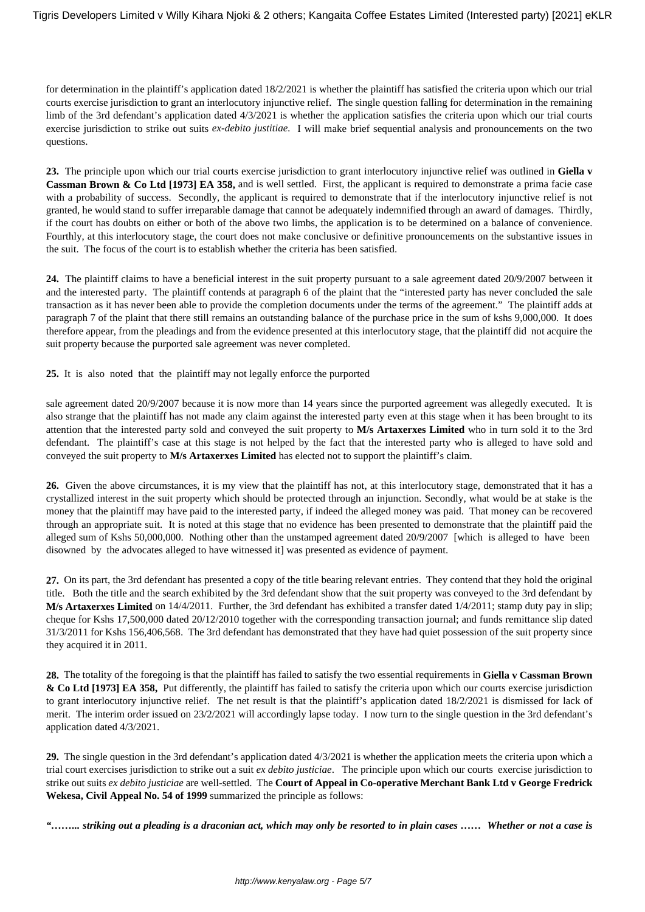for determination in the plaintiff's application dated 18/2/2021 is whether the plaintiff has satisfied the criteria upon which our trial courts exercise jurisdiction to grant an interlocutory injunctive relief. The single question falling for determination in the remaining limb of the 3rd defendant's application dated 4/3/2021 is whether the application satisfies the criteria upon which our trial courts exercise jurisdiction to strike out suits *ex-debito justitiae.* I will make brief sequential analysis and pronouncements on the two questions.

**23.** The principle upon which our trial courts exercise jurisdiction to grant interlocutory injunctive relief was outlined in **Giella v Cassman Brown & Co Ltd [1973] EA 358,** and is well settled. First, the applicant is required to demonstrate a prima facie case with a probability of success. Secondly, the applicant is required to demonstrate that if the interlocutory injunctive relief is not granted, he would stand to suffer irreparable damage that cannot be adequately indemnified through an award of damages. Thirdly, if the court has doubts on either or both of the above two limbs, the application is to be determined on a balance of convenience. Fourthly, at this interlocutory stage, the court does not make conclusive or definitive pronouncements on the substantive issues in the suit. The focus of the court is to establish whether the criteria has been satisfied.

**24.** The plaintiff claims to have a beneficial interest in the suit property pursuant to a sale agreement dated 20/9/2007 between it and the interested party. The plaintiff contends at paragraph 6 of the plaint that the "interested party has never concluded the sale transaction as it has never been able to provide the completion documents under the terms of the agreement." The plaintiff adds at paragraph 7 of the plaint that there still remains an outstanding balance of the purchase price in the sum of kshs 9,000,000. It does therefore appear, from the pleadings and from the evidence presented at this interlocutory stage, that the plaintiff did not acquire the suit property because the purported sale agreement was never completed.

**25.** It is also noted that the plaintiff may not legally enforce the purported

sale agreement dated 20/9/2007 because it is now more than 14 years since the purported agreement was allegedly executed. It is also strange that the plaintiff has not made any claim against the interested party even at this stage when it has been brought to its attention that the interested party sold and conveyed the suit property to **M/s Artaxerxes Limited** who in turn sold it to the 3rd defendant. The plaintiff's case at this stage is not helped by the fact that the interested party who is alleged to have sold and conveyed the suit property to **M/s Artaxerxes Limited** has elected not to support the plaintiff's claim.

**26.** Given the above circumstances, it is my view that the plaintiff has not, at this interlocutory stage, demonstrated that it has a crystallized interest in the suit property which should be protected through an injunction. Secondly, what would be at stake is the money that the plaintiff may have paid to the interested party, if indeed the alleged money was paid. That money can be recovered through an appropriate suit. It is noted at this stage that no evidence has been presented to demonstrate that the plaintiff paid the alleged sum of Kshs 50,000,000. Nothing other than the unstamped agreement dated 20/9/2007 [which is alleged to have been disowned by the advocates alleged to have witnessed it] was presented as evidence of payment.

**27.** On its part, the 3rd defendant has presented a copy of the title bearing relevant entries. They contend that they hold the original title. Both the title and the search exhibited by the 3rd defendant show that the suit property was conveyed to the 3rd defendant by **M/s Artaxerxes Limited** on 14/4/2011. Further, the 3rd defendant has exhibited a transfer dated 1/4/2011; stamp duty pay in slip; cheque for Kshs 17,500,000 dated 20/12/2010 together with the corresponding transaction journal; and funds remittance slip dated 31/3/2011 for Kshs 156,406,568. The 3rd defendant has demonstrated that they have had quiet possession of the suit property since they acquired it in 2011.

**28.** The totality of the foregoing is that the plaintiff has failed to satisfy the two essential requirements in **Giella v Cassman Brown & Co Ltd [1973] EA 358,** Put differently, the plaintiff has failed to satisfy the criteria upon which our courts exercise jurisdiction to grant interlocutory injunctive relief. The net result is that the plaintiff's application dated 18/2/2021 is dismissed for lack of merit. The interim order issued on 23/2/2021 will accordingly lapse today. I now turn to the single question in the 3rd defendant's application dated 4/3/2021.

**29.** The single question in the 3rd defendant's application dated 4/3/2021 is whether the application meets the criteria upon which a trial court exercises jurisdiction to strike out a suit *ex debito justiciae*. The principle upon which our courts exercise jurisdiction to strike out suits *ex debito justiciae* are well-settled. The **Court of Appeal in Co-operative Merchant Bank Ltd v George Fredrick Wekesa, Civil Appeal No. 54 of 1999** summarized the principle as follows:

*"……... striking out a pleading is a draconian act, which may only be resorted to in plain cases …… Whether or not a case is*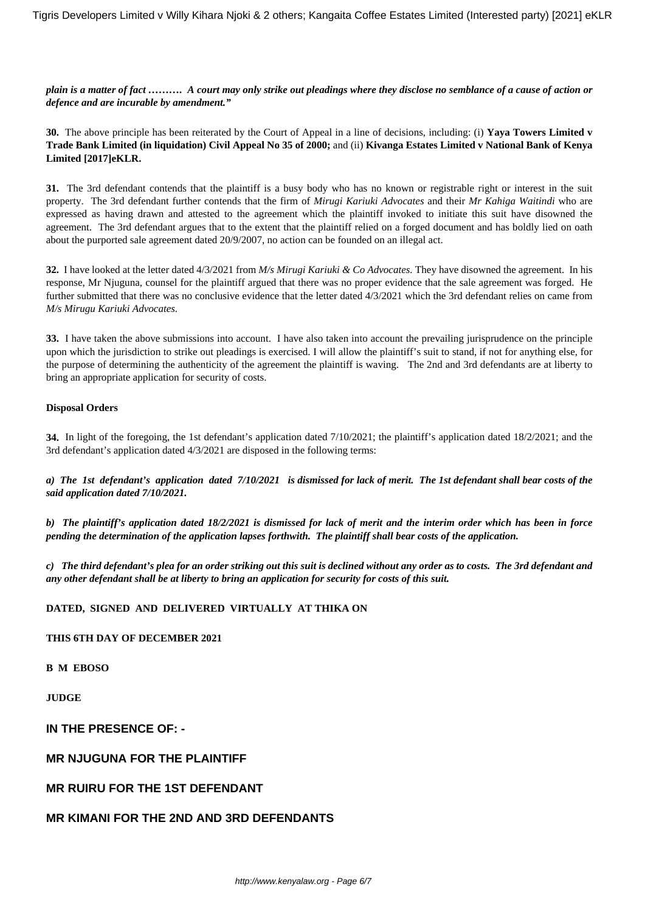*plain is a matter of fact ………. A court may only strike out pleadings where they disclose no semblance of a cause of action or defence and are incurable by amendment."*

**30.** The above principle has been reiterated by the Court of Appeal in a line of decisions, including: (i) **Yaya Towers Limited v Trade Bank Limited (in liquidation) Civil Appeal No 35 of 2000;** and (ii) **Kivanga Estates Limited v National Bank of Kenya Limited [2017]eKLR.**

**31.** The 3rd defendant contends that the plaintiff is a busy body who has no known or registrable right or interest in the suit property. The 3rd defendant further contends that the firm of *Mirugi Kariuki Advocates* and their *Mr Kahiga Waitindi* who are expressed as having drawn and attested to the agreement which the plaintiff invoked to initiate this suit have disowned the agreement. The 3rd defendant argues that to the extent that the plaintiff relied on a forged document and has boldly lied on oath about the purported sale agreement dated 20/9/2007, no action can be founded on an illegal act.

**32.** I have looked at the letter dated 4/3/2021 from *M/s Mirugi Kariuki & Co Advocates.* They have disowned the agreement. In his response, Mr Njuguna, counsel for the plaintiff argued that there was no proper evidence that the sale agreement was forged. He further submitted that there was no conclusive evidence that the letter dated 4/3/2021 which the 3rd defendant relies on came from *M/s Mirugu Kariuki Advocates.*

**33.** I have taken the above submissions into account. I have also taken into account the prevailing jurisprudence on the principle upon which the jurisdiction to strike out pleadings is exercised. I will allow the plaintiff's suit to stand, if not for anything else, for the purpose of determining the authenticity of the agreement the plaintiff is waving. The 2nd and 3rd defendants are at liberty to bring an appropriate application for security of costs.

#### **Disposal Orders**

**34.** In light of the foregoing, the 1st defendant's application dated 7/10/2021; the plaintiff's application dated 18/2/2021; and the 3rd defendant's application dated 4/3/2021 are disposed in the following terms:

*a) The 1st defendant's application dated 7/10/2021 is dismissed for lack of merit. The 1st defendant shall bear costs of the said application dated 7/10/2021.*

*b) The plaintiff's application dated 18/2/2021 is dismissed for lack of merit and the interim order which has been in force pending the determination of the application lapses forthwith. The plaintiff shall bear costs of the application.*

*c) The third defendant's plea for an order striking out this suit is declined without any order as to costs. The 3rd defendant and any other defendant shall be at liberty to bring an application for security for costs of this suit.*

# **DATED, SIGNED AND DELIVERED VIRTUALLY AT THIKA ON**

#### **THIS 6TH DAY OF DECEMBER 2021**

**B M EBOSO**

**JUDGE**

# **IN THE PRESENCE OF: -**

# **MR NJUGUNA FOR THE PLAINTIFF**

# **MR RUIRU FOR THE 1ST DEFENDANT**

# **MR KIMANI FOR THE 2ND AND 3RD DEFENDANTS**